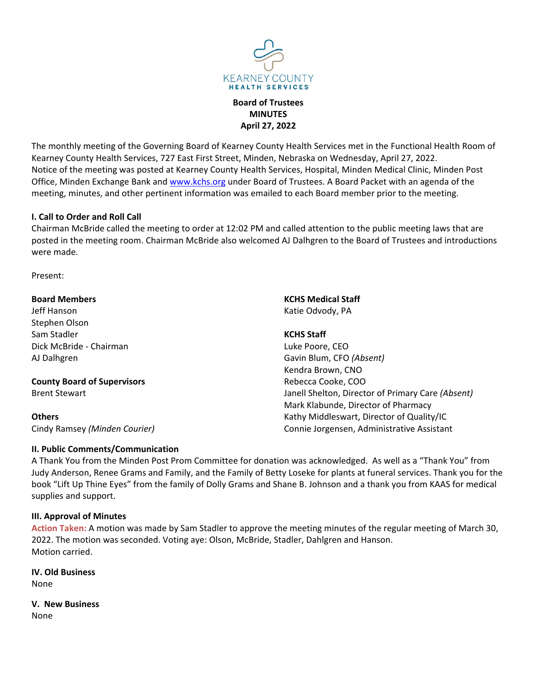

**Board of Trustees MINUTES April 27, 2022**

The monthly meeting of the Governing Board of Kearney County Health Services met in the Functional Health Room of Kearney County Health Services, 727 East First Street, Minden, Nebraska on Wednesday, April 27, 2022. Notice of the meeting was posted at Kearney County Health Services, Hospital, Minden Medical Clinic, Minden Post Office, Minden Exchange Bank and www.kchs.org under Board of Trustees. A Board Packet with an agenda of the meeting, minutes, and other pertinent information was emailed to each Board member prior to the meeting.

## **I. Call to Order and Roll Call**

Chairman McBride called the meeting to order at 12:02 PM and called attention to the public meeting laws that are posted in the meeting room. Chairman McBride also welcomed AJ Dalhgren to the Board of Trustees and introductions were made.

Present:

### **Board Members**

Jeff Hanson Stephen Olson Sam Stadler Dick McBride ‐ Chairman AJ Dalhgren

# **County Board of Supervisors**

Brent Stewart

# **Others**

Cindy Ramsey *(Minden Courier)*

## **II. Public Comments/Communication**

**KCHS Medical Staff** Katie Odvody, PA

**KCHS Staff**

Luke Poore, CEO Gavin Blum, CFO *(Absent)* Kendra Brown, CNO Rebecca Cooke, COO Janell Shelton, Director of Primary Care *(Absent)* Mark Klabunde, Director of Pharmacy Kathy Middleswart, Director of Quality/IC Connie Jorgensen, Administrative Assistant

A Thank You from the Minden Post Prom Committee for donation was acknowledged. As well as a "Thank You" from Judy Anderson, Renee Grams and Family, and the Family of Betty Loseke for plants at funeral services. Thank you for the book "Lift Up Thine Eyes" from the family of Dolly Grams and Shane B. Johnson and a thank you from KAAS for medical supplies and support.

## **III. Approval of Minutes**

**Action Taken:** A motion was made by Sam Stadler to approve the meeting minutes of the regular meeting of March 30, 2022. The motion was seconded. Voting aye: Olson, McBride, Stadler, Dahlgren and Hanson. Motion carried.

**IV. Old Business** None

**V. New Business**

None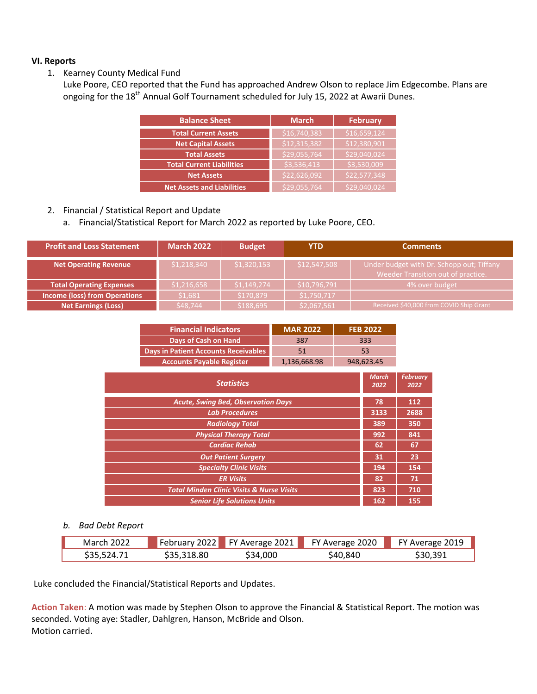## **VI. Reports**

- 1. Kearney County Medical Fund
	- Luke Poore, CEO reported that the Fund has approached Andrew Olson to replace Jim Edgecombe. Plans are ongoing for the 18<sup>th</sup> Annual Golf Tournament scheduled for July 15, 2022 at Awarii Dunes.

| <b>Balance Sheet</b>              | <b>March</b> | <b>February</b> |  |
|-----------------------------------|--------------|-----------------|--|
| <b>Total Current Assets</b>       | \$16,740,383 | \$16,659,124    |  |
| <b>Net Capital Assets</b>         | \$12,315,382 | \$12,380,901    |  |
| <b>Total Assets</b>               | \$29,055,764 | \$29,040,024    |  |
| <b>Total Current Liabilities</b>  | \$3,536,413  | \$3,530,009     |  |
| <b>Net Assets</b>                 | \$22,626,092 | \$22,577,348    |  |
| <b>Net Assets and Liabilities</b> | \$29,055,764 | \$29,040,024    |  |

# 2. Financial / Statistical Report and Update

a. Financial/Statistical Report for March 2022 as reported by Luke Poore, CEO.

| <b>Profit and Loss Statement</b>     | <b>March 2022</b> | <b>Budget</b> | <b>YTD</b>   | <b>Comments</b>                                                                 |
|--------------------------------------|-------------------|---------------|--------------|---------------------------------------------------------------------------------|
| <b>Net Operating Revenue</b>         | \$1,218,340       | \$1,320,153   | \$12,547,508 | Under budget with Dr. Schopp out; Tiffany<br>Weeder Transition out of practice. |
| <b>Total Operating Expenses</b>      | \$1,216,658       | \$1,149,274   | \$10,796,791 | 4% over budget                                                                  |
| <b>Income (loss) from Operations</b> | \$1,681           | \$170,879     | \$1,750,717  |                                                                                 |
| <b>Net Earnings (Loss)</b>           | \$48,744          | \$188,695     | \$2,067,561  | Received \$40,000 from COVID Ship Grant                                         |

| <b>Financial Indicators</b>          | <b>MAR 2022</b> | <b>FEB 2022</b> |
|--------------------------------------|-----------------|-----------------|
| Days of Cash on Hand                 | 387             | 333             |
| Days in Patient Accounts Receivables | 51              | 53              |
| <b>Accounts Payable Register</b>     | 1,136,668.98    | 948,623.45      |
|                                      |                 |                 |

| <b>Statistics</b>                                    | <b>March</b><br>2022 | <b>February</b><br>2022 |
|------------------------------------------------------|----------------------|-------------------------|
| <b>Acute, Swing Bed, Observation Days</b>            | 78                   | 112                     |
| <b>Lab Procedures</b>                                | 3133                 | 2688                    |
| <b>Radiology Total</b>                               | 389                  | 350                     |
| <b>Physical Therapy Total</b>                        | 992                  | 841                     |
| <b>Cardiac Rehab</b>                                 | 62                   | 67                      |
| <b>Out Patient Surgery</b>                           | 31                   | 23                      |
| <b>Specialty Clinic Visits</b>                       | 194                  | 154                     |
| <b>ER Visits</b>                                     | 82                   | 71                      |
| <b>Total Minden Clinic Visits &amp; Nurse Visits</b> | 823                  | 710                     |
| <b>Senior Life Solutions Units</b>                   | 162                  | 155                     |

#### *b. Bad Debt Report*

| <b>March 2022</b> |             | February 2022 FY Average 2021 FY Average 2020 |          | FY Average 2019 |
|-------------------|-------------|-----------------------------------------------|----------|-----------------|
| S35.524.71        | \$35,318.80 | \$34,000                                      | \$40,840 | \$30.391        |

Luke concluded the Financial/Statistical Reports and Updates.

**Action Taken**: A motion was made by Stephen Olson to approve the Financial & Statistical Report. The motion was seconded. Voting aye: Stadler, Dahlgren, Hanson, McBride and Olson. Motion carried.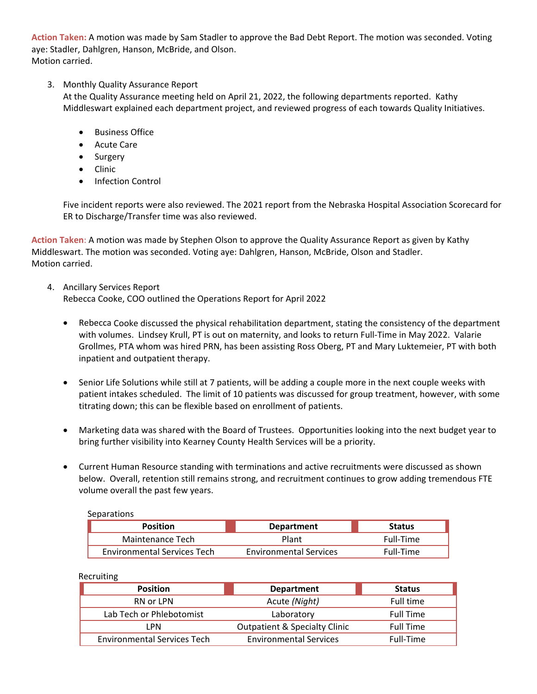**Action Taken:** A motion was made by Sam Stadler to approve the Bad Debt Report. The motion was seconded. Voting aye: Stadler, Dahlgren, Hanson, McBride, and Olson. Motion carried.

# 3. Monthly Quality Assurance Report

At the Quality Assurance meeting held on April 21, 2022, the following departments reported. Kathy Middleswart explained each department project, and reviewed progress of each towards Quality Initiatives.

- **Business Office**
- Acute Care
- Surgery
- Clinic
- Infection Control

Five incident reports were also reviewed. The 2021 report from the Nebraska Hospital Association Scorecard for ER to Discharge/Transfer time was also reviewed.

**Action Taken**: A motion was made by Stephen Olson to approve the Quality Assurance Report as given by Kathy Middleswart. The motion was seconded. Voting aye: Dahlgren, Hanson, McBride, Olson and Stadler. Motion carried.

- 4. Ancillary Services Report Rebecca Cooke, COO outlined the Operations Report for April 2022
	- Rebecca Cooke discussed the physical rehabilitation department, stating the consistency of the department with volumes. Lindsey Krull, PT is out on maternity, and looks to return Full-Time in May 2022. Valarie Grollmes, PTA whom was hired PRN, has been assisting Ross Oberg, PT and Mary Luktemeier, PT with both inpatient and outpatient therapy.
	- Senior Life Solutions while still at 7 patients, will be adding a couple more in the next couple weeks with patient intakes scheduled. The limit of 10 patients was discussed for group treatment, however, with some titrating down; this can be flexible based on enrollment of patients.
	- Marketing data was shared with the Board of Trustees. Opportunities looking into the next budget year to bring further visibility into Kearney County Health Services will be a priority.
	- Current Human Resource standing with terminations and active recruitments were discussed as shown below. Overall, retention still remains strong, and recruitment continues to grow adding tremendous FTE volume overall the past few years.

| Separations                        |                               |               |
|------------------------------------|-------------------------------|---------------|
| <b>Position</b>                    | <b>Department</b>             | <b>Status</b> |
| Maintenance Tech                   | Plant                         | Full-Time     |
| <b>Environmental Services Tech</b> | <b>Environmental Services</b> | Full-Time     |

#### Recruiting

| <b>Position</b>                    | <b>Department</b>                        | <b>Status</b>    |
|------------------------------------|------------------------------------------|------------------|
| RN or LPN                          | Acute (Night)                            | Full time        |
| Lab Tech or Phlebotomist           | Laboratory                               | <b>Full Time</b> |
| I PN                               | <b>Outpatient &amp; Specialty Clinic</b> | <b>Full Time</b> |
| <b>Environmental Services Tech</b> | <b>Environmental Services</b>            | Full-Time        |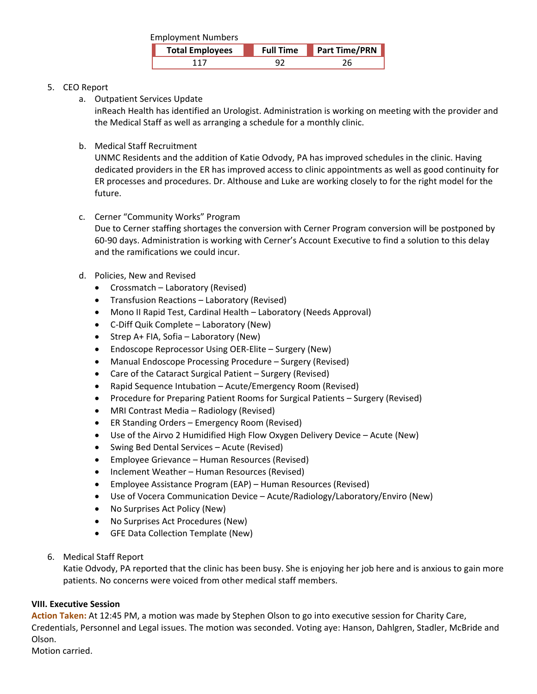| <b>Employment Numbers</b> |                  |                      |
|---------------------------|------------------|----------------------|
| <b>Total Employees</b>    | <b>Full Time</b> | <b>Part Time/PRN</b> |
| 117                       |                  |                      |

# 5. CEO Report

a. Outpatient Services Update

inReach Health has identified an Urologist. Administration is working on meeting with the provider and the Medical Staff as well as arranging a schedule for a monthly clinic.

b. Medical Staff Recruitment

UNMC Residents and the addition of Katie Odvody, PA has improved schedules in the clinic. Having dedicated providers in the ER has improved access to clinic appointments as well as good continuity for ER processes and procedures. Dr. Althouse and Luke are working closely to for the right model for the future.

c. Cerner "Community Works" Program

Due to Cerner staffing shortages the conversion with Cerner Program conversion will be postponed by 60‐90 days. Administration is working with Cerner's Account Executive to find a solution to this delay and the ramifications we could incur.

- d. Policies, New and Revised
	- Crossmatch Laboratory (Revised)
	- Transfusion Reactions Laboratory (Revised)
	- Mono II Rapid Test, Cardinal Health Laboratory (Needs Approval)
	- C-Diff Quik Complete Laboratory (New)
	- Strep A+ FIA, Sofia Laboratory (New)
	- Endoscope Reprocessor Using OER‐Elite Surgery (New)
	- Manual Endoscope Processing Procedure Surgery (Revised)
	- Care of the Cataract Surgical Patient Surgery (Revised)
	- Rapid Sequence Intubation Acute/Emergency Room (Revised)
	- Procedure for Preparing Patient Rooms for Surgical Patients Surgery (Revised)
	- MRI Contrast Media Radiology (Revised)
	- ER Standing Orders Emergency Room (Revised)
	- Use of the Airvo 2 Humidified High Flow Oxygen Delivery Device Acute (New)
	- Swing Bed Dental Services Acute (Revised)
	- Employee Grievance Human Resources (Revised)
	- Inclement Weather Human Resources (Revised)
	- Employee Assistance Program (EAP) Human Resources (Revised)
	- Use of Vocera Communication Device Acute/Radiology/Laboratory/Enviro (New)
	- No Surprises Act Policy (New)
	- No Surprises Act Procedures (New)
	- GFE Data Collection Template (New)
- 6. Medical Staff Report

Katie Odvody, PA reported that the clinic has been busy. She is enjoying her job here and is anxious to gain more patients. No concerns were voiced from other medical staff members.

## **VIII. Executive Session**

**Action Taken:** At 12:45 PM, a motion was made by Stephen Olson to go into executive session for Charity Care, Credentials, Personnel and Legal issues. The motion was seconded. Voting aye: Hanson, Dahlgren, Stadler, McBride and Olson.

Motion carried.